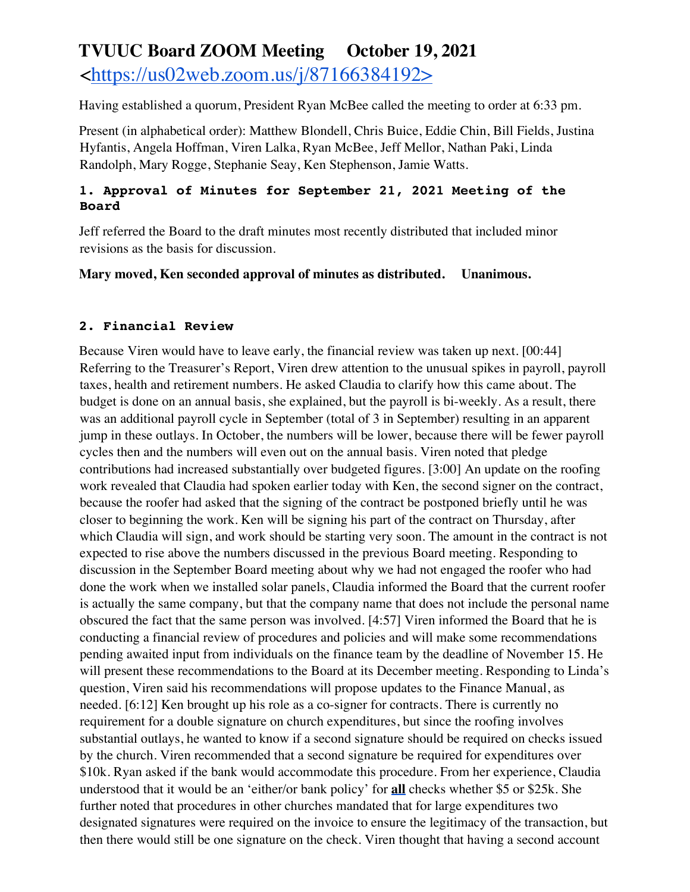# **TVUUC Board ZOOM Meeting October 19, 2021**  <https://us02web.zoom.us/j/87166384192>

Having established a quorum, President Ryan McBee called the meeting to order at 6:33 pm.

Present (in alphabetical order): Matthew Blondell, Chris Buice, Eddie Chin, Bill Fields, Justina Hyfantis, Angela Hoffman, Viren Lalka, Ryan McBee, Jeff Mellor, Nathan Paki, Linda Randolph, Mary Rogge, Stephanie Seay, Ken Stephenson, Jamie Watts.

#### **1. Approval of Minutes for September 21, 2021 Meeting of the Board**

Jeff referred the Board to the draft minutes most recently distributed that included minor revisions as the basis for discussion.

**Mary moved, Ken seconded approval of minutes as distributed. Unanimous.**

#### **2. Financial Review**

Because Viren would have to leave early, the financial review was taken up next. [00:44] Referring to the Treasurer's Report, Viren drew attention to the unusual spikes in payroll, payroll taxes, health and retirement numbers. He asked Claudia to clarify how this came about. The budget is done on an annual basis, she explained, but the payroll is bi-weekly. As a result, there was an additional payroll cycle in September (total of 3 in September) resulting in an apparent jump in these outlays. In October, the numbers will be lower, because there will be fewer payroll cycles then and the numbers will even out on the annual basis. Viren noted that pledge contributions had increased substantially over budgeted figures. [3:00] An update on the roofing work revealed that Claudia had spoken earlier today with Ken, the second signer on the contract, because the roofer had asked that the signing of the contract be postponed briefly until he was closer to beginning the work. Ken will be signing his part of the contract on Thursday, after which Claudia will sign, and work should be starting very soon. The amount in the contract is not expected to rise above the numbers discussed in the previous Board meeting. Responding to discussion in the September Board meeting about why we had not engaged the roofer who had done the work when we installed solar panels, Claudia informed the Board that the current roofer is actually the same company, but that the company name that does not include the personal name obscured the fact that the same person was involved. [4:57] Viren informed the Board that he is conducting a financial review of procedures and policies and will make some recommendations pending awaited input from individuals on the finance team by the deadline of November 15. He will present these recommendations to the Board at its December meeting. Responding to Linda's question, Viren said his recommendations will propose updates to the Finance Manual, as needed. [6:12] Ken brought up his role as a co-signer for contracts. There is currently no requirement for a double signature on church expenditures, but since the roofing involves substantial outlays, he wanted to know if a second signature should be required on checks issued by the church. Viren recommended that a second signature be required for expenditures over \$10k. Ryan asked if the bank would accommodate this procedure. From her experience, Claudia understood that it would be an 'either/or bank policy' for **all** checks whether \$5 or \$25k. She further noted that procedures in other churches mandated that for large expenditures two designated signatures were required on the invoice to ensure the legitimacy of the transaction, but then there would still be one signature on the check. Viren thought that having a second account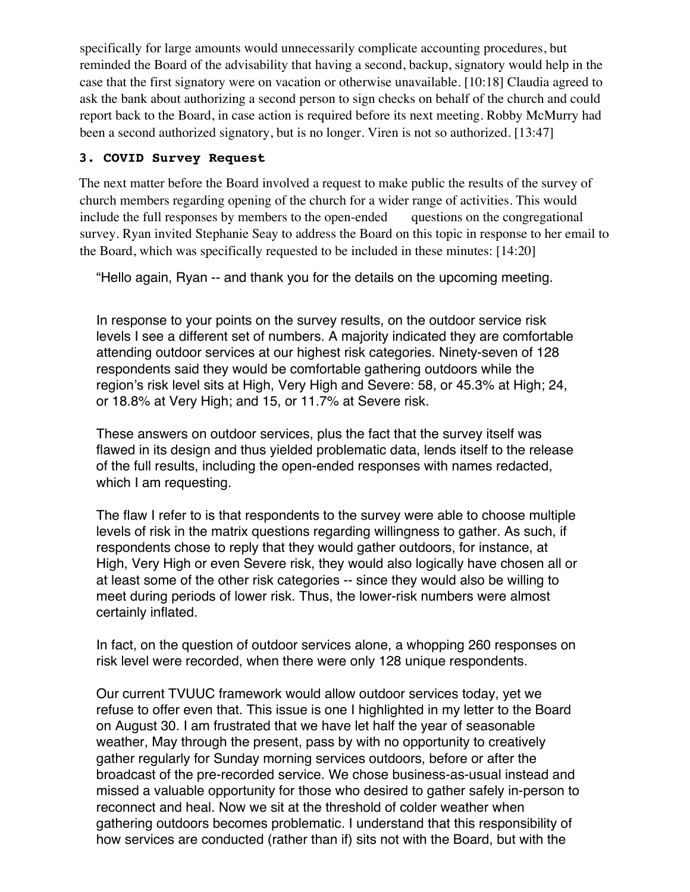specifically for large amounts would unnecessarily complicate accounting procedures, but reminded the Board of the advisability that having a second, backup, signatory would help in the case that the first signatory were on vacation or otherwise unavailable. [10:18] Claudia agreed to ask the bank about authorizing a second person to sign checks on behalf of the church and could report back to the Board, in case action is required before its next meeting. Robby McMurry had been a second authorized signatory, but is no longer. Viren is not so authorized. [13:47]

#### **3. COVID Survey Request**

The next matter before the Board involved a request to make public the results of the survey of church members regarding opening of the church for a wider range of activities. This would include the full responses by members to the open-ended questions on the congregational survey. Ryan invited Stephanie Seay to address the Board on this topic in response to her email to the Board, which was specifically requested to be included in these minutes: [14:20]

"Hello again, Ryan -- and thank you for the details on the upcoming meeting.

In response to your points on the survey results, on the outdoor service risk levels I see a different set of numbers. A majority indicated they are comfortable attending outdoor services at our highest risk categories. Ninety-seven of 128 respondents said they would be comfortable gathering outdoors while the region's risk level sits at High, Very High and Severe: 58, or 45.3% at High; 24, or 18.8% at Very High; and 15, or 11.7% at Severe risk.

These answers on outdoor services, plus the fact that the survey itself was flawed in its design and thus yielded problematic data, lends itself to the release of the full results, including the open-ended responses with names redacted, which I am requesting.

The flaw I refer to is that respondents to the survey were able to choose multiple levels of risk in the matrix questions regarding willingness to gather. As such, if respondents chose to reply that they would gather outdoors, for instance, at High, Very High or even Severe risk, they would also logically have chosen all or at least some of the other risk categories -- since they would also be willing to meet during periods of lower risk. Thus, the lower-risk numbers were almost certainly inflated.

In fact, on the question of outdoor services alone, a whopping 260 responses on risk level were recorded, when there were only 128 unique respondents.

Our current TVUUC framework would allow outdoor services today, yet we refuse to offer even that. This issue is one I highlighted in my letter to the Board on August 30. I am frustrated that we have let half the year of seasonable weather, May through the present, pass by with no opportunity to creatively gather regularly for Sunday morning services outdoors, before or after the broadcast of the pre-recorded service. We chose business-as-usual instead and missed a valuable opportunity for those who desired to gather safely in-person to reconnect and heal. Now we sit at the threshold of colder weather when gathering outdoors becomes problematic. I understand that this responsibility of how services are conducted (rather than if) sits not with the Board, but with the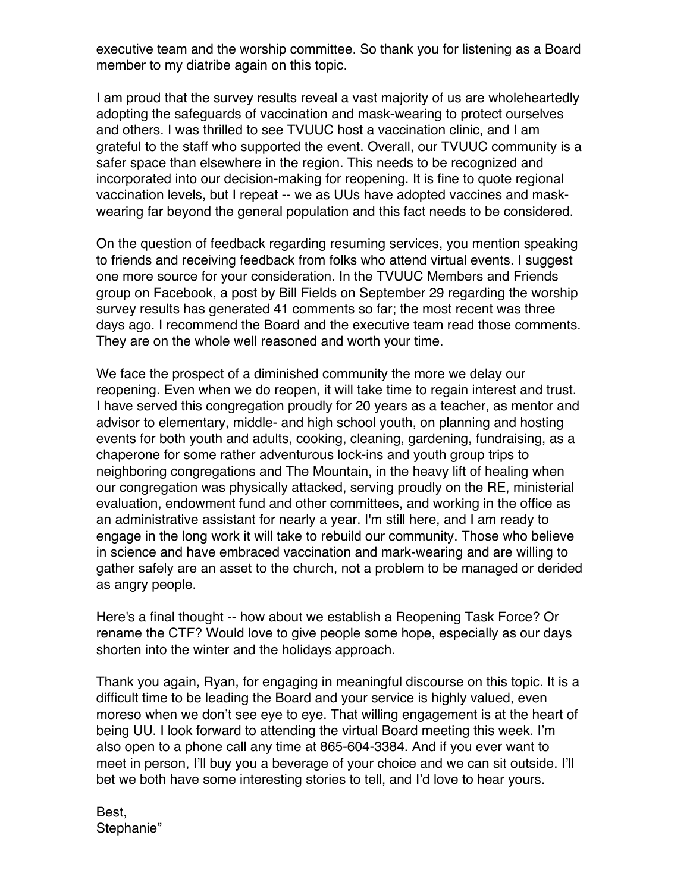executive team and the worship committee. So thank you for listening as a Board member to my diatribe again on this topic.

I am proud that the survey results reveal a vast majority of us are wholeheartedly adopting the safeguards of vaccination and mask-wearing to protect ourselves and others. I was thrilled to see TVUUC host a vaccination clinic, and I am grateful to the staff who supported the event. Overall, our TVUUC community is a safer space than elsewhere in the region. This needs to be recognized and incorporated into our decision-making for reopening. It is fine to quote regional vaccination levels, but I repeat -- we as UUs have adopted vaccines and maskwearing far beyond the general population and this fact needs to be considered.

On the question of feedback regarding resuming services, you mention speaking to friends and receiving feedback from folks who attend virtual events. I suggest one more source for your consideration. In the TVUUC Members and Friends group on Facebook, a post by Bill Fields on September 29 regarding the worship survey results has generated 41 comments so far; the most recent was three days ago. I recommend the Board and the executive team read those comments. They are on the whole well reasoned and worth your time.

We face the prospect of a diminished community the more we delay our reopening. Even when we do reopen, it will take time to regain interest and trust. I have served this congregation proudly for 20 years as a teacher, as mentor and advisor to elementary, middle- and high school youth, on planning and hosting events for both youth and adults, cooking, cleaning, gardening, fundraising, as a chaperone for some rather adventurous lock-ins and youth group trips to neighboring congregations and The Mountain, in the heavy lift of healing when our congregation was physically attacked, serving proudly on the RE, ministerial evaluation, endowment fund and other committees, and working in the office as an administrative assistant for nearly a year. I'm still here, and I am ready to engage in the long work it will take to rebuild our community. Those who believe in science and have embraced vaccination and mark-wearing and are willing to gather safely are an asset to the church, not a problem to be managed or derided as angry people.

Here's a final thought -- how about we establish a Reopening Task Force? Or rename the CTF? Would love to give people some hope, especially as our days shorten into the winter and the holidays approach.

Thank you again, Ryan, for engaging in meaningful discourse on this topic. It is a difficult time to be leading the Board and your service is highly valued, even moreso when we don't see eye to eye. That willing engagement is at the heart of being UU. I look forward to attending the virtual Board meeting this week. I'm also open to a phone call any time at 865-604-3384. And if you ever want to meet in person, I'll buy you a beverage of your choice and we can sit outside. I'll bet we both have some interesting stories to tell, and I'd love to hear yours.

Best, Stephanie"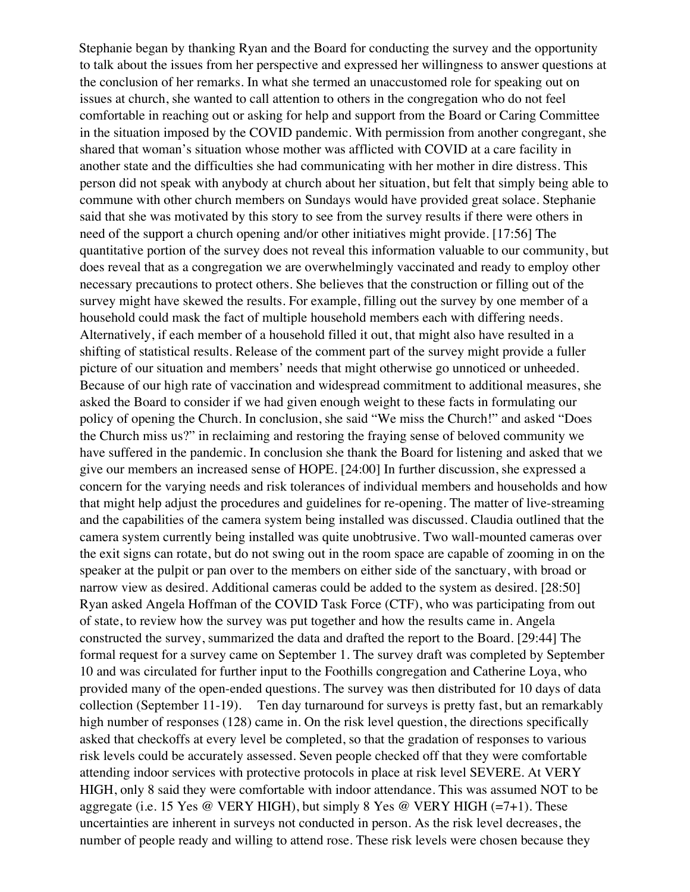Stephanie began by thanking Ryan and the Board for conducting the survey and the opportunity to talk about the issues from her perspective and expressed her willingness to answer questions at the conclusion of her remarks. In what she termed an unaccustomed role for speaking out on issues at church, she wanted to call attention to others in the congregation who do not feel comfortable in reaching out or asking for help and support from the Board or Caring Committee in the situation imposed by the COVID pandemic. With permission from another congregant, she shared that woman's situation whose mother was afflicted with COVID at a care facility in another state and the difficulties she had communicating with her mother in dire distress. This person did not speak with anybody at church about her situation, but felt that simply being able to commune with other church members on Sundays would have provided great solace. Stephanie said that she was motivated by this story to see from the survey results if there were others in need of the support a church opening and/or other initiatives might provide. [17:56] The quantitative portion of the survey does not reveal this information valuable to our community, but does reveal that as a congregation we are overwhelmingly vaccinated and ready to employ other necessary precautions to protect others. She believes that the construction or filling out of the survey might have skewed the results. For example, filling out the survey by one member of a household could mask the fact of multiple household members each with differing needs. Alternatively, if each member of a household filled it out, that might also have resulted in a shifting of statistical results. Release of the comment part of the survey might provide a fuller picture of our situation and members' needs that might otherwise go unnoticed or unheeded. Because of our high rate of vaccination and widespread commitment to additional measures, she asked the Board to consider if we had given enough weight to these facts in formulating our policy of opening the Church. In conclusion, she said "We miss the Church!" and asked "Does the Church miss us?" in reclaiming and restoring the fraying sense of beloved community we have suffered in the pandemic. In conclusion she thank the Board for listening and asked that we give our members an increased sense of HOPE. [24:00] In further discussion, she expressed a concern for the varying needs and risk tolerances of individual members and households and how that might help adjust the procedures and guidelines for re-opening. The matter of live-streaming and the capabilities of the camera system being installed was discussed. Claudia outlined that the camera system currently being installed was quite unobtrusive. Two wall-mounted cameras over the exit signs can rotate, but do not swing out in the room space are capable of zooming in on the speaker at the pulpit or pan over to the members on either side of the sanctuary, with broad or narrow view as desired. Additional cameras could be added to the system as desired. [28:50] Ryan asked Angela Hoffman of the COVID Task Force (CTF), who was participating from out of state, to review how the survey was put together and how the results came in. Angela constructed the survey, summarized the data and drafted the report to the Board. [29:44] The formal request for a survey came on September 1. The survey draft was completed by September 10 and was circulated for further input to the Foothills congregation and Catherine Loya, who provided many of the open-ended questions. The survey was then distributed for 10 days of data collection (September 11-19). Ten day turnaround for surveys is pretty fast, but an remarkably high number of responses (128) came in. On the risk level question, the directions specifically asked that checkoffs at every level be completed, so that the gradation of responses to various risk levels could be accurately assessed. Seven people checked off that they were comfortable attending indoor services with protective protocols in place at risk level SEVERE. At VERY HIGH, only 8 said they were comfortable with indoor attendance. This was assumed NOT to be aggregate (i.e. 15 Yes @ VERY HIGH), but simply 8 Yes @ VERY HIGH  $(=7+1)$ . These uncertainties are inherent in surveys not conducted in person. As the risk level decreases, the number of people ready and willing to attend rose. These risk levels were chosen because they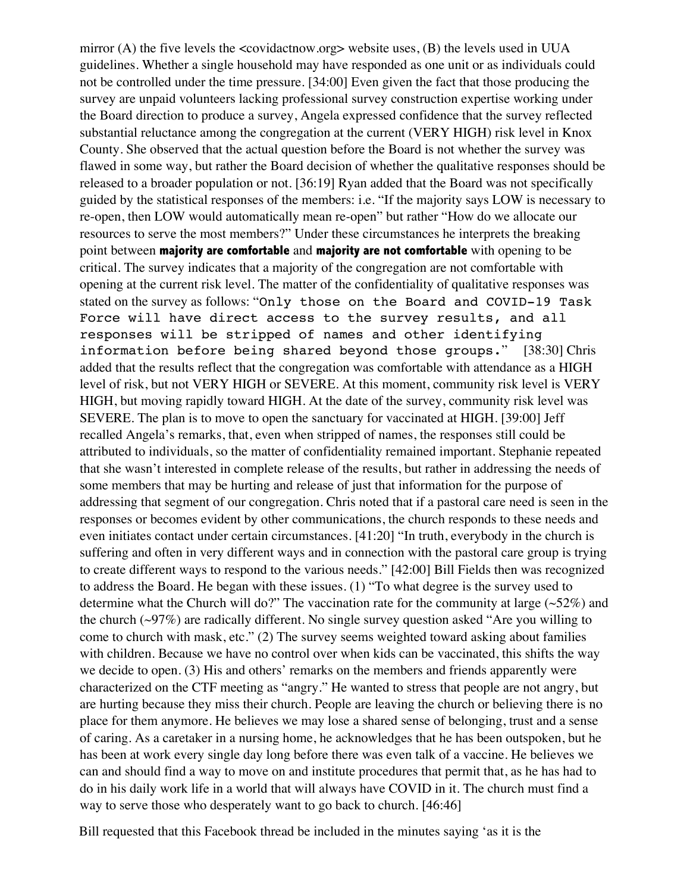mirror (A) the five levels the  $\leq$  covidactnow.org website uses, (B) the levels used in UUA guidelines. Whether a single household may have responded as one unit or as individuals could not be controlled under the time pressure. [34:00] Even given the fact that those producing the survey are unpaid volunteers lacking professional survey construction expertise working under the Board direction to produce a survey, Angela expressed confidence that the survey reflected substantial reluctance among the congregation at the current (VERY HIGH) risk level in Knox County. She observed that the actual question before the Board is not whether the survey was flawed in some way, but rather the Board decision of whether the qualitative responses should be released to a broader population or not. [36:19] Ryan added that the Board was not specifically guided by the statistical responses of the members: i.e. "If the majority says LOW is necessary to re-open, then LOW would automatically mean re-open" but rather "How do we allocate our resources to serve the most members?" Under these circumstances he interprets the breaking point between **majority are comfortable** and **majority are not comfortable** with opening to be critical. The survey indicates that a majority of the congregation are not comfortable with opening at the current risk level. The matter of the confidentiality of qualitative responses was stated on the survey as follows: "Only those on the Board and COVID-19 Task Force will have direct access to the survey results, and all responses will be stripped of names and other identifying information before being shared beyond those groups." [38:30] Chris added that the results reflect that the congregation was comfortable with attendance as a HIGH level of risk, but not VERY HIGH or SEVERE. At this moment, community risk level is VERY HIGH, but moving rapidly toward HIGH. At the date of the survey, community risk level was SEVERE. The plan is to move to open the sanctuary for vaccinated at HIGH. [39:00] Jeff recalled Angela's remarks, that, even when stripped of names, the responses still could be attributed to individuals, so the matter of confidentiality remained important. Stephanie repeated that she wasn't interested in complete release of the results, but rather in addressing the needs of some members that may be hurting and release of just that information for the purpose of addressing that segment of our congregation. Chris noted that if a pastoral care need is seen in the responses or becomes evident by other communications, the church responds to these needs and even initiates contact under certain circumstances. [41:20] "In truth, everybody in the church is suffering and often in very different ways and in connection with the pastoral care group is trying to create different ways to respond to the various needs." [42:00] Bill Fields then was recognized to address the Board. He began with these issues. (1) "To what degree is the survey used to determine what the Church will do?" The vaccination rate for the community at large  $(\sim 52\%)$  and the church  $(\sim)97\%$ ) are radically different. No single survey question asked "Are you willing to come to church with mask, etc." (2) The survey seems weighted toward asking about families with children. Because we have no control over when kids can be vaccinated, this shifts the way we decide to open. (3) His and others' remarks on the members and friends apparently were characterized on the CTF meeting as "angry." He wanted to stress that people are not angry, but are hurting because they miss their church. People are leaving the church or believing there is no place for them anymore. He believes we may lose a shared sense of belonging, trust and a sense of caring. As a caretaker in a nursing home, he acknowledges that he has been outspoken, but he has been at work every single day long before there was even talk of a vaccine. He believes we can and should find a way to move on and institute procedures that permit that, as he has had to do in his daily work life in a world that will always have COVID in it. The church must find a way to serve those who desperately want to go back to church. [46:46]

Bill requested that this Facebook thread be included in the minutes saying 'as it is the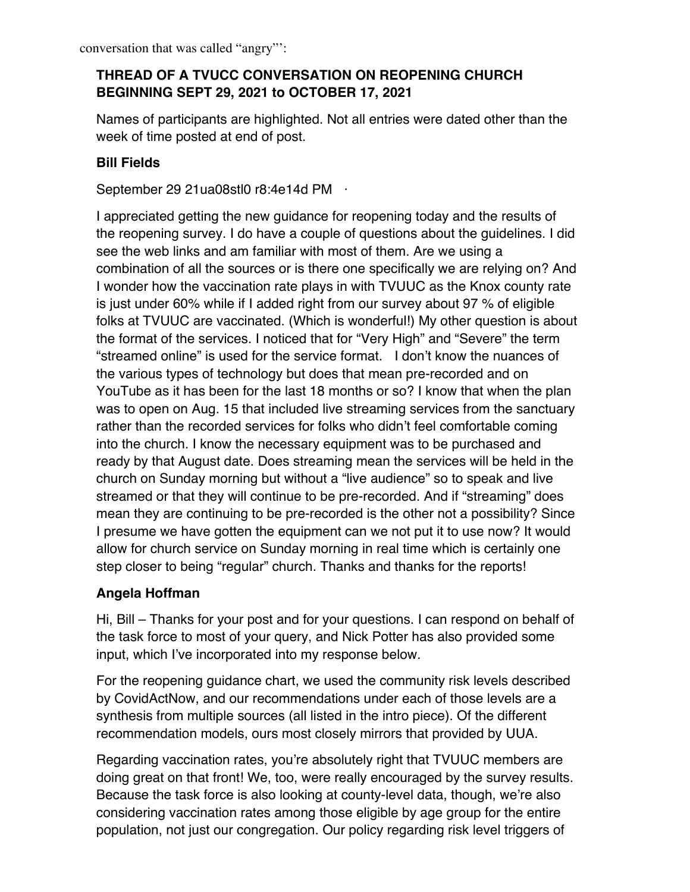# **THREAD OF A TVUCC CONVERSATION ON REOPENING CHURCH BEGINNING SEPT 29, 2021 to OCTOBER 17, 2021**

Names of participants are highlighted. Not all entries were dated other than the week of time posted at end of post.

# **Bill Fields**

September 29 21 ua08stl0 r8:4e14d PM ·

I appreciated getting the new guidance for reopening today and the results of the reopening survey. I do have a couple of questions about the guidelines. I did see the web links and am familiar with most of them. Are we using a combination of all the sources or is there one specifically we are relying on? And I wonder how the vaccination rate plays in with TVUUC as the Knox county rate is just under 60% while if I added right from our survey about 97 % of eligible folks at TVUUC are vaccinated. (Which is wonderful!) My other question is about the format of the services. I noticed that for "Very High" and "Severe" the term "streamed online" is used for the service format. I don't know the nuances of the various types of technology but does that mean pre-recorded and on YouTube as it has been for the last 18 months or so? I know that when the plan was to open on Aug. 15 that included live streaming services from the sanctuary rather than the recorded services for folks who didn't feel comfortable coming into the church. I know the necessary equipment was to be purchased and ready by that August date. Does streaming mean the services will be held in the church on Sunday morning but without a "live audience" so to speak and live streamed or that they will continue to be pre-recorded. And if "streaming" does mean they are continuing to be pre-recorded is the other not a possibility? Since I presume we have gotten the equipment can we not put it to use now? It would allow for church service on Sunday morning in real time which is certainly one step closer to being "regular" church. Thanks and thanks for the reports!

# **Angela Hoffman**

Hi, Bill – Thanks for your post and for your questions. I can respond on behalf of the task force to most of your query, and Nick Potter has also provided some input, which I've incorporated into my response below.

For the reopening guidance chart, we used the community risk levels described by CovidActNow, and our recommendations under each of those levels are a synthesis from multiple sources (all listed in the intro piece). Of the different recommendation models, ours most closely mirrors that provided by UUA.

Regarding vaccination rates, you're absolutely right that TVUUC members are doing great on that front! We, too, were really encouraged by the survey results. Because the task force is also looking at county-level data, though, we're also considering vaccination rates among those eligible by age group for the entire population, not just our congregation. Our policy regarding risk level triggers of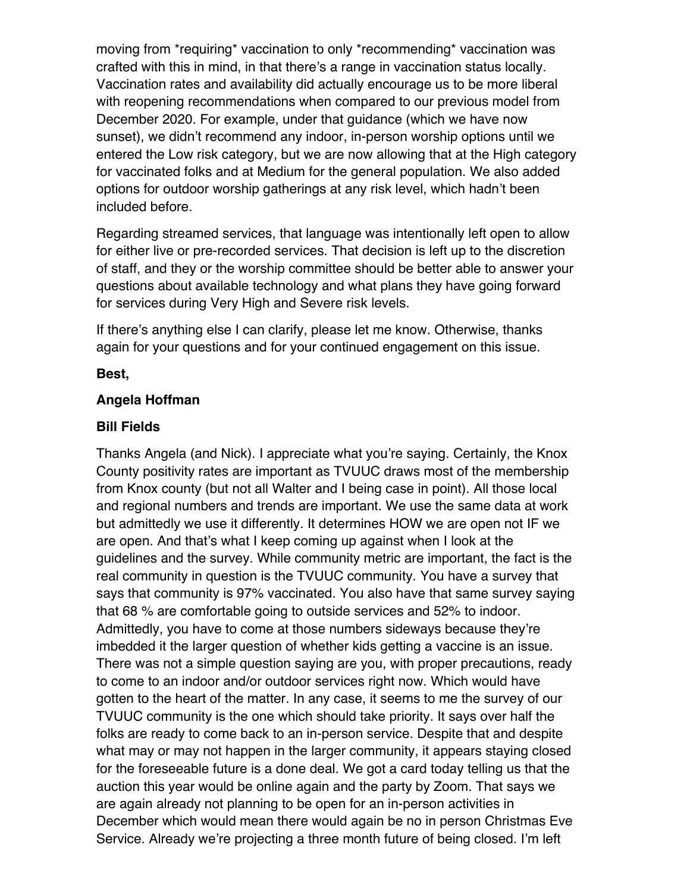moving from \*requiring\* vaccination to only \*recommending\* vaccination was crafted with this in mind, in that there's a range in vaccination status locally. Vaccination rates and availability did actually encourage us to be more liberal with reopening recommendations when compared to our previous model from December 2020. For example, under that guidance (which we have now sunset), we didn't recommend any indoor, in-person worship options until we entered the Low risk category, but we are now allowing that at the High category for vaccinated folks and at Medium for the general population. We also added options for outdoor worship gatherings at any risk level, which hadn't been included before.

Regarding streamed services, that language was intentionally left open to allow for either live or pre-recorded services. That decision is left up to the discretion of staff, and they or the worship committee should be better able to answer your questions about available technology and what plans they have going forward for services during Very High and Severe risk levels.

If there's anything else I can clarify, please let me know. Otherwise, thanks again for your questions and for your continued engagement on this issue.

#### **Best,**

#### **Angela Hoffman**

#### **Bill Fields**

Thanks Angela (and Nick). I appreciate what you're saying. Certainly, the Knox County positivity rates are important as TVUUC draws most of the membership from Knox county (but not all Walter and I being case in point). All those local and regional numbers and trends are important. We use the same data at work but admittedly we use it differently. It determines HOW we are open not IF we are open. And that's what I keep coming up against when I look at the guidelines and the survey. While community metric are important, the fact is the real community in question is the TVUUC community. You have a survey that says that community is 97% vaccinated. You also have that same survey saying that 68 % are comfortable going to outside services and 52% to indoor. Admittedly, you have to come at those numbers sideways because they're imbedded it the larger question of whether kids getting a vaccine is an issue. There was not a simple question saying are you, with proper precautions, ready to come to an indoor and/or outdoor services right now. Which would have gotten to the heart of the matter. In any case, it seems to me the survey of our TVUUC community is the one which should take priority. It says over half the folks are ready to come back to an in-person service. Despite that and despite what may or may not happen in the larger community, it appears staying closed for the foreseeable future is a done deal. We got a card today telling us that the auction this year would be online again and the party by Zoom. That says we are again already not planning to be open for an in-person activities in December which would mean there would again be no in person Christmas Eve Service. Already we're projecting a three month future of being closed. I'm left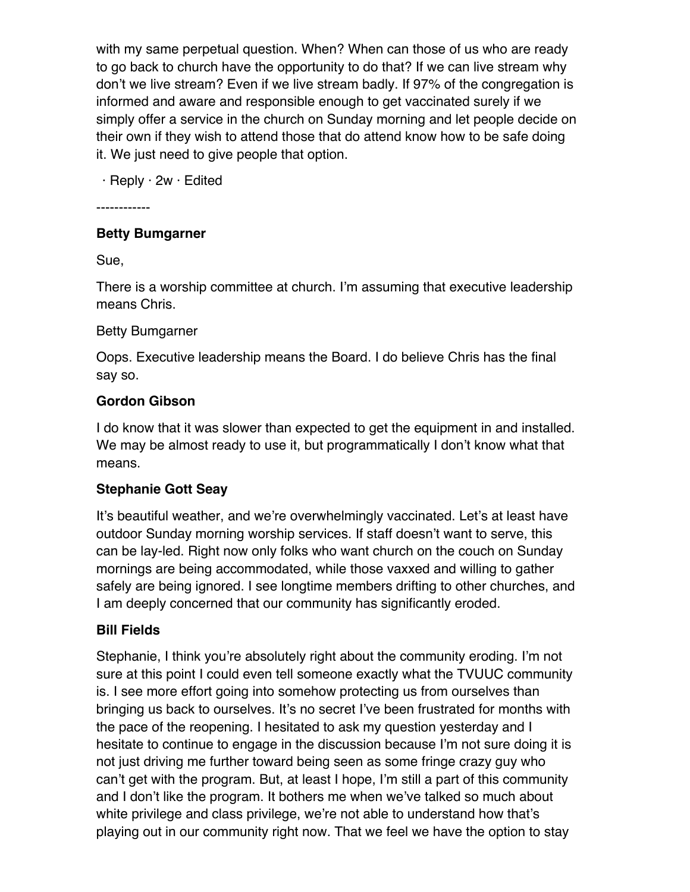with my same perpetual question. When? When can those of us who are ready to go back to church have the opportunity to do that? If we can live stream why don't we live stream? Even if we live stream badly. If 97% of the congregation is informed and aware and responsible enough to get vaccinated surely if we simply offer a service in the church on Sunday morning and let people decide on their own if they wish to attend those that do attend know how to be safe doing it. We just need to give people that option.

· Reply · 2w · Edited

------------

# **Betty Bumgarner**

Sue,

There is a worship committee at church. I'm assuming that executive leadership means Chris.

# Betty Bumgarner

Oops. Executive leadership means the Board. I do believe Chris has the final say so.

# **Gordon Gibson**

I do know that it was slower than expected to get the equipment in and installed. We may be almost ready to use it, but programmatically I don't know what that means.

# **Stephanie Gott Seay**

It's beautiful weather, and we're overwhelmingly vaccinated. Let's at least have outdoor Sunday morning worship services. If staff doesn't want to serve, this can be lay-led. Right now only folks who want church on the couch on Sunday mornings are being accommodated, while those vaxxed and willing to gather safely are being ignored. I see longtime members drifting to other churches, and I am deeply concerned that our community has significantly eroded.

# **Bill Fields**

Stephanie, I think you're absolutely right about the community eroding. I'm not sure at this point I could even tell someone exactly what the TVUUC community is. I see more effort going into somehow protecting us from ourselves than bringing us back to ourselves. It's no secret I've been frustrated for months with the pace of the reopening. I hesitated to ask my question yesterday and I hesitate to continue to engage in the discussion because I'm not sure doing it is not just driving me further toward being seen as some fringe crazy guy who can't get with the program. But, at least I hope, I'm still a part of this community and I don't like the program. It bothers me when we've talked so much about white privilege and class privilege, we're not able to understand how that's playing out in our community right now. That we feel we have the option to stay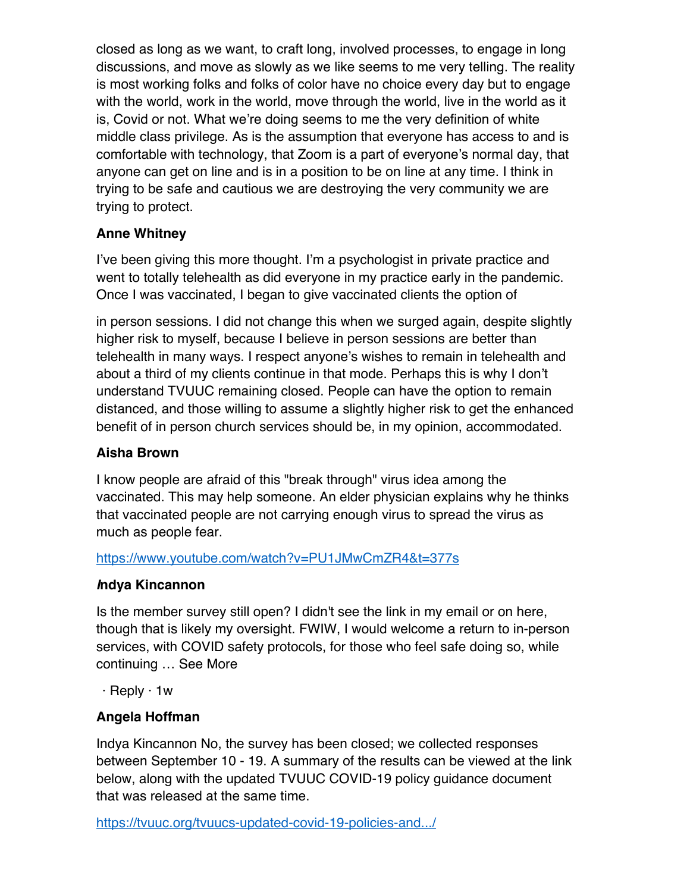closed as long as we want, to craft long, involved processes, to engage in long discussions, and move as slowly as we like seems to me very telling. The reality is most working folks and folks of color have no choice every day but to engage with the world, work in the world, move through the world, live in the world as it is, Covid or not. What we're doing seems to me the very definition of white middle class privilege. As is the assumption that everyone has access to and is comfortable with technology, that Zoom is a part of everyone's normal day, that anyone can get on line and is in a position to be on line at any time. I think in trying to be safe and cautious we are destroying the very community we are trying to protect.

# **Anne Whitney**

I've been giving this more thought. I'm a psychologist in private practice and went to totally telehealth as did everyone in my practice early in the pandemic. Once I was vaccinated, I began to give vaccinated clients the option of

in person sessions. I did not change this when we surged again, despite slightly higher risk to myself, because I believe in person sessions are better than telehealth in many ways. I respect anyone's wishes to remain in telehealth and about a third of my clients continue in that mode. Perhaps this is why I don't understand TVUUC remaining closed. People can have the option to remain distanced, and those willing to assume a slightly higher risk to get the enhanced benefit of in person church services should be, in my opinion, accommodated.

# **Aisha Brown**

I know people are afraid of this "break through" virus idea among the vaccinated. This may help someone. An elder physician explains why he thinks that vaccinated people are not carrying enough virus to spread the virus as much as people fear.

#### https://www.youtube.com/watch?v=PU1JMwCmZR4&t=377s

# *I***ndya Kincannon**

Is the member survey still open? I didn't see the link in my email or on here, though that is likely my oversight. FWIW, I would welcome a return to in-person services, with COVID safety protocols, for those who feel safe doing so, while continuing … See More

· Reply · 1w

# **Angela Hoffman**

Indya Kincannon No, the survey has been closed; we collected responses between September 10 - 19. A summary of the results can be viewed at the link below, along with the updated TVUUC COVID-19 policy guidance document that was released at the same time.

https://tvuuc.org/tvuucs-updated-covid-19-policies-and.../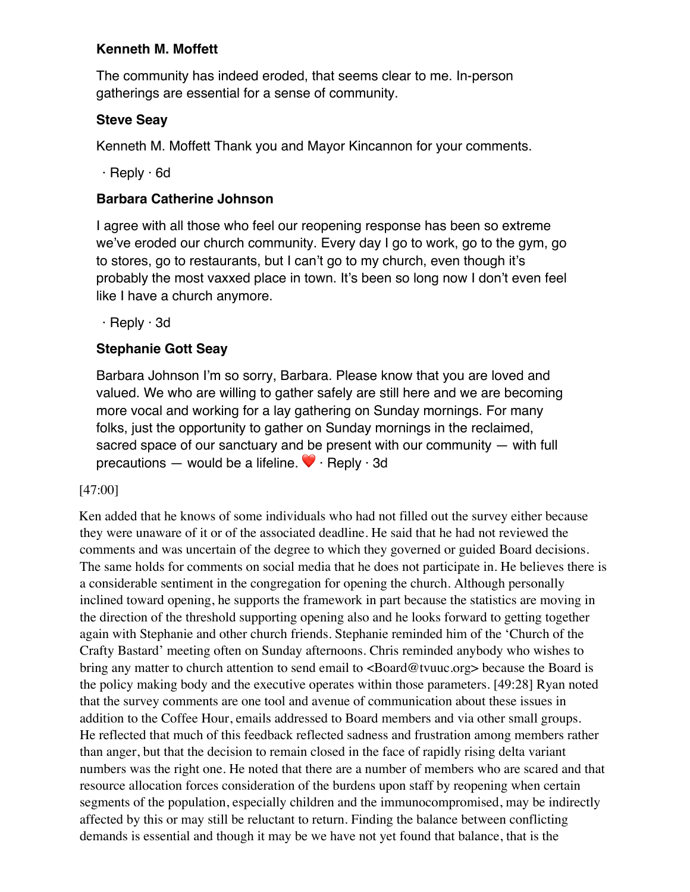# **Kenneth M. Moffett**

The community has indeed eroded, that seems clear to me. In-person gatherings are essential for a sense of community.

# **Steve Seay**

Kenneth M. Moffett Thank you and Mayor Kincannon for your comments.

· Reply · 6d

# **Barbara Catherine Johnson**

I agree with all those who feel our reopening response has been so extreme we've eroded our church community. Every day I go to work, go to the gym, go to stores, go to restaurants, but I can't go to my church, even though it's probably the most vaxxed place in town. It's been so long now I don't even feel like I have a church anymore.

· Reply · 3d

# **Stephanie Gott Seay**

Barbara Johnson I'm so sorry, Barbara. Please know that you are loved and valued. We who are willing to gather safely are still here and we are becoming more vocal and working for a lay gathering on Sunday mornings. For many folks, just the opportunity to gather on Sunday mornings in the reclaimed, sacred space of our sanctuary and be present with our community — with full precautions — would be a lifeline.  $\blacktriangledown \cdot$  Reply  $\cdot$  3d

# [47:00]

Ken added that he knows of some individuals who had not filled out the survey either because they were unaware of it or of the associated deadline. He said that he had not reviewed the comments and was uncertain of the degree to which they governed or guided Board decisions. The same holds for comments on social media that he does not participate in. He believes there is a considerable sentiment in the congregation for opening the church. Although personally inclined toward opening, he supports the framework in part because the statistics are moving in the direction of the threshold supporting opening also and he looks forward to getting together again with Stephanie and other church friends. Stephanie reminded him of the 'Church of the Crafty Bastard' meeting often on Sunday afternoons. Chris reminded anybody who wishes to bring any matter to church attention to send email to <Board@tvuuc.org> because the Board is the policy making body and the executive operates within those parameters. [49:28] Ryan noted that the survey comments are one tool and avenue of communication about these issues in addition to the Coffee Hour, emails addressed to Board members and via other small groups. He reflected that much of this feedback reflected sadness and frustration among members rather than anger, but that the decision to remain closed in the face of rapidly rising delta variant numbers was the right one. He noted that there are a number of members who are scared and that resource allocation forces consideration of the burdens upon staff by reopening when certain segments of the population, especially children and the immunocompromised, may be indirectly affected by this or may still be reluctant to return. Finding the balance between conflicting demands is essential and though it may be we have not yet found that balance, that is the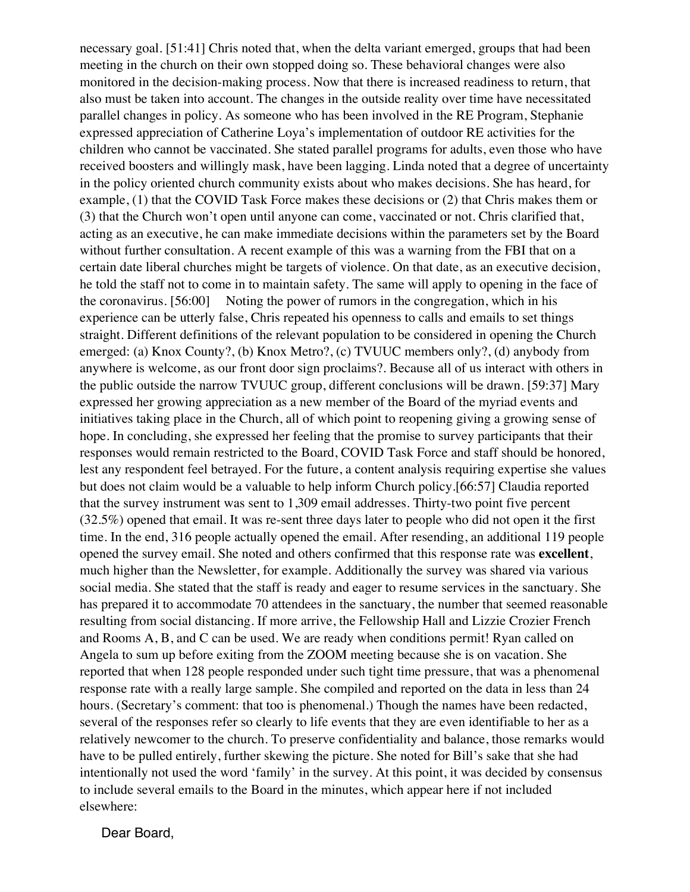necessary goal. [51:41] Chris noted that, when the delta variant emerged, groups that had been meeting in the church on their own stopped doing so. These behavioral changes were also monitored in the decision-making process. Now that there is increased readiness to return, that also must be taken into account. The changes in the outside reality over time have necessitated parallel changes in policy. As someone who has been involved in the RE Program, Stephanie expressed appreciation of Catherine Loya's implementation of outdoor RE activities for the children who cannot be vaccinated. She stated parallel programs for adults, even those who have received boosters and willingly mask, have been lagging. Linda noted that a degree of uncertainty in the policy oriented church community exists about who makes decisions. She has heard, for example, (1) that the COVID Task Force makes these decisions or (2) that Chris makes them or (3) that the Church won't open until anyone can come, vaccinated or not. Chris clarified that, acting as an executive, he can make immediate decisions within the parameters set by the Board without further consultation. A recent example of this was a warning from the FBI that on a certain date liberal churches might be targets of violence. On that date, as an executive decision, he told the staff not to come in to maintain safety. The same will apply to opening in the face of the coronavirus. [56:00] Noting the power of rumors in the congregation, which in his experience can be utterly false, Chris repeated his openness to calls and emails to set things straight. Different definitions of the relevant population to be considered in opening the Church emerged: (a) Knox County?, (b) Knox Metro?, (c) TVUUC members only?, (d) anybody from anywhere is welcome, as our front door sign proclaims?. Because all of us interact with others in the public outside the narrow TVUUC group, different conclusions will be drawn. [59:37] Mary expressed her growing appreciation as a new member of the Board of the myriad events and initiatives taking place in the Church, all of which point to reopening giving a growing sense of hope. In concluding, she expressed her feeling that the promise to survey participants that their responses would remain restricted to the Board, COVID Task Force and staff should be honored, lest any respondent feel betrayed. For the future, a content analysis requiring expertise she values but does not claim would be a valuable to help inform Church policy.[66:57] Claudia reported that the survey instrument was sent to 1,309 email addresses. Thirty-two point five percent (32.5%) opened that email. It was re-sent three days later to people who did not open it the first time. In the end, 316 people actually opened the email. After resending, an additional 119 people opened the survey email. She noted and others confirmed that this response rate was **excellent**, much higher than the Newsletter, for example. Additionally the survey was shared via various social media. She stated that the staff is ready and eager to resume services in the sanctuary. She has prepared it to accommodate 70 attendees in the sanctuary, the number that seemed reasonable resulting from social distancing. If more arrive, the Fellowship Hall and Lizzie Crozier French and Rooms A, B, and C can be used. We are ready when conditions permit! Ryan called on Angela to sum up before exiting from the ZOOM meeting because she is on vacation. She reported that when 128 people responded under such tight time pressure, that was a phenomenal response rate with a really large sample. She compiled and reported on the data in less than 24 hours. (Secretary's comment: that too is phenomenal.) Though the names have been redacted, several of the responses refer so clearly to life events that they are even identifiable to her as a relatively newcomer to the church. To preserve confidentiality and balance, those remarks would have to be pulled entirely, further skewing the picture. She noted for Bill's sake that she had intentionally not used the word 'family' in the survey. At this point, it was decided by consensus to include several emails to the Board in the minutes, which appear here if not included elsewhere:

Dear Board,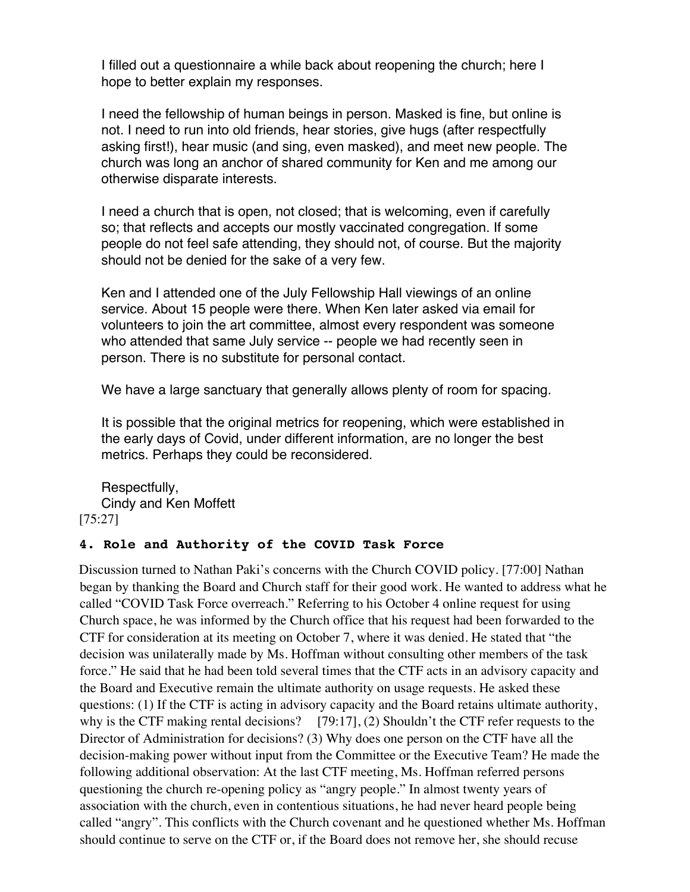I filled out a questionnaire a while back about reopening the church; here I hope to better explain my responses.

I need the fellowship of human beings in person. Masked is fine, but online is not. I need to run into old friends, hear stories, give hugs (after respectfully asking first!), hear music (and sing, even masked), and meet new people. The church was long an anchor of shared community for Ken and me among our otherwise disparate interests.

I need a church that is open, not closed; that is welcoming, even if carefully so; that reflects and accepts our mostly vaccinated congregation. If some people do not feel safe attending, they should not, of course. But the majority should not be denied for the sake of a very few.

Ken and I attended one of the July Fellowship Hall viewings of an online service. About 15 people were there. When Ken later asked via email for volunteers to join the art committee, almost every respondent was someone who attended that same July service -- people we had recently seen in person. There is no substitute for personal contact.

We have a large sanctuary that generally allows plenty of room for spacing.

It is possible that the original metrics for reopening, which were established in the early days of Covid, under different information, are no longer the best metrics. Perhaps they could be reconsidered.

Respectfully, Cindy and Ken Moffett [75:27]

#### **4. Role and Authority of the COVID Task Force**

Discussion turned to Nathan Paki's concerns with the Church COVID policy. [77:00] Nathan began by thanking the Board and Church staff for their good work. He wanted to address what he called "COVID Task Force overreach." Referring to his October 4 online request for using Church space, he was informed by the Church office that his request had been forwarded to the CTF for consideration at its meeting on October 7, where it was denied. He stated that "the decision was unilaterally made by Ms. Hoffman without consulting other members of the task force." He said that he had been told several times that the CTF acts in an advisory capacity and the Board and Executive remain the ultimate authority on usage requests. He asked these questions: (1) If the CTF is acting in advisory capacity and the Board retains ultimate authority, why is the CTF making rental decisions?  $[79:17]$ , (2) Shouldn't the CTF refer requests to the Director of Administration for decisions? (3) Why does one person on the CTF have all the decision-making power without input from the Committee or the Executive Team? He made the following additional observation: At the last CTF meeting, Ms. Hoffman referred persons questioning the church re-opening policy as "angry people." In almost twenty years of association with the church, even in contentious situations, he had never heard people being called "angry". This conflicts with the Church covenant and he questioned whether Ms. Hoffman should continue to serve on the CTF or, if the Board does not remove her, she should recuse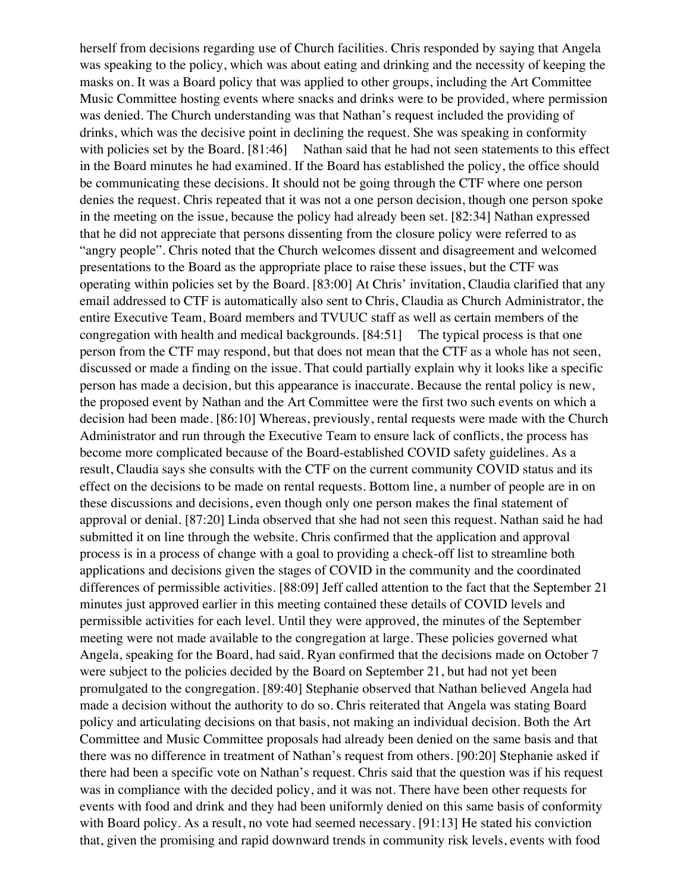herself from decisions regarding use of Church facilities. Chris responded by saying that Angela was speaking to the policy, which was about eating and drinking and the necessity of keeping the masks on. It was a Board policy that was applied to other groups, including the Art Committee Music Committee hosting events where snacks and drinks were to be provided, where permission was denied. The Church understanding was that Nathan's request included the providing of drinks, which was the decisive point in declining the request. She was speaking in conformity with policies set by the Board. [81:46] Nathan said that he had not seen statements to this effect in the Board minutes he had examined. If the Board has established the policy, the office should be communicating these decisions. It should not be going through the CTF where one person denies the request. Chris repeated that it was not a one person decision, though one person spoke in the meeting on the issue, because the policy had already been set. [82:34] Nathan expressed that he did not appreciate that persons dissenting from the closure policy were referred to as "angry people". Chris noted that the Church welcomes dissent and disagreement and welcomed presentations to the Board as the appropriate place to raise these issues, but the CTF was operating within policies set by the Board. [83:00] At Chris' invitation, Claudia clarified that any email addressed to CTF is automatically also sent to Chris, Claudia as Church Administrator, the entire Executive Team, Board members and TVUUC staff as well as certain members of the congregation with health and medical backgrounds. [84:51] The typical process is that one person from the CTF may respond, but that does not mean that the CTF as a whole has not seen, discussed or made a finding on the issue. That could partially explain why it looks like a specific person has made a decision, but this appearance is inaccurate. Because the rental policy is new, the proposed event by Nathan and the Art Committee were the first two such events on which a decision had been made. [86:10] Whereas, previously, rental requests were made with the Church Administrator and run through the Executive Team to ensure lack of conflicts, the process has become more complicated because of the Board-established COVID safety guidelines. As a result, Claudia says she consults with the CTF on the current community COVID status and its effect on the decisions to be made on rental requests. Bottom line, a number of people are in on these discussions and decisions, even though only one person makes the final statement of approval or denial. [87:20] Linda observed that she had not seen this request. Nathan said he had submitted it on line through the website. Chris confirmed that the application and approval process is in a process of change with a goal to providing a check-off list to streamline both applications and decisions given the stages of COVID in the community and the coordinated differences of permissible activities. [88:09] Jeff called attention to the fact that the September 21 minutes just approved earlier in this meeting contained these details of COVID levels and permissible activities for each level. Until they were approved, the minutes of the September meeting were not made available to the congregation at large. These policies governed what Angela, speaking for the Board, had said. Ryan confirmed that the decisions made on October 7 were subject to the policies decided by the Board on September 21, but had not yet been promulgated to the congregation. [89:40] Stephanie observed that Nathan believed Angela had made a decision without the authority to do so. Chris reiterated that Angela was stating Board policy and articulating decisions on that basis, not making an individual decision. Both the Art Committee and Music Committee proposals had already been denied on the same basis and that there was no difference in treatment of Nathan's request from others. [90:20] Stephanie asked if there had been a specific vote on Nathan's request. Chris said that the question was if his request was in compliance with the decided policy, and it was not. There have been other requests for events with food and drink and they had been uniformly denied on this same basis of conformity with Board policy. As a result, no vote had seemed necessary. [91:13] He stated his conviction that, given the promising and rapid downward trends in community risk levels, events with food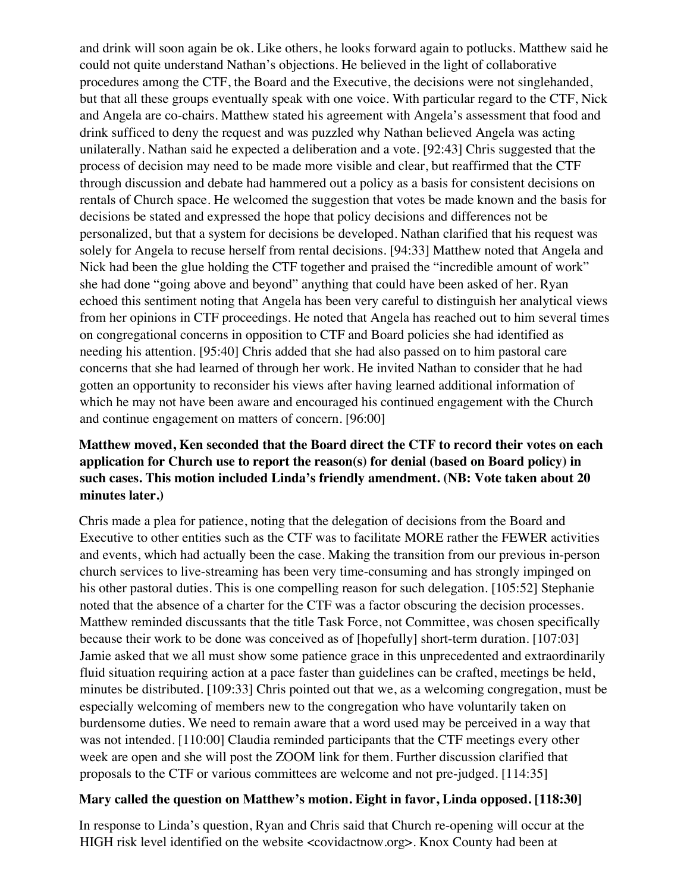and drink will soon again be ok. Like others, he looks forward again to potlucks. Matthew said he could not quite understand Nathan's objections. He believed in the light of collaborative procedures among the CTF, the Board and the Executive, the decisions were not singlehanded, but that all these groups eventually speak with one voice. With particular regard to the CTF, Nick and Angela are co-chairs. Matthew stated his agreement with Angela's assessment that food and drink sufficed to deny the request and was puzzled why Nathan believed Angela was acting unilaterally. Nathan said he expected a deliberation and a vote. [92:43] Chris suggested that the process of decision may need to be made more visible and clear, but reaffirmed that the CTF through discussion and debate had hammered out a policy as a basis for consistent decisions on rentals of Church space. He welcomed the suggestion that votes be made known and the basis for decisions be stated and expressed the hope that policy decisions and differences not be personalized, but that a system for decisions be developed. Nathan clarified that his request was solely for Angela to recuse herself from rental decisions. [94:33] Matthew noted that Angela and Nick had been the glue holding the CTF together and praised the "incredible amount of work" she had done "going above and beyond" anything that could have been asked of her. Ryan echoed this sentiment noting that Angela has been very careful to distinguish her analytical views from her opinions in CTF proceedings. He noted that Angela has reached out to him several times on congregational concerns in opposition to CTF and Board policies she had identified as needing his attention. [95:40] Chris added that she had also passed on to him pastoral care concerns that she had learned of through her work. He invited Nathan to consider that he had gotten an opportunity to reconsider his views after having learned additional information of which he may not have been aware and encouraged his continued engagement with the Church and continue engagement on matters of concern. [96:00]

#### **Matthew moved, Ken seconded that the Board direct the CTF to record their votes on each application for Church use to report the reason(s) for denial (based on Board policy) in such cases. This motion included Linda's friendly amendment. (NB: Vote taken about 20 minutes later.)**

Chris made a plea for patience, noting that the delegation of decisions from the Board and Executive to other entities such as the CTF was to facilitate MORE rather the FEWER activities and events, which had actually been the case. Making the transition from our previous in-person church services to live-streaming has been very time-consuming and has strongly impinged on his other pastoral duties. This is one compelling reason for such delegation. [105:52] Stephanie noted that the absence of a charter for the CTF was a factor obscuring the decision processes. Matthew reminded discussants that the title Task Force, not Committee, was chosen specifically because their work to be done was conceived as of [hopefully] short-term duration. [107:03] Jamie asked that we all must show some patience grace in this unprecedented and extraordinarily fluid situation requiring action at a pace faster than guidelines can be crafted, meetings be held, minutes be distributed. [109:33] Chris pointed out that we, as a welcoming congregation, must be especially welcoming of members new to the congregation who have voluntarily taken on burdensome duties. We need to remain aware that a word used may be perceived in a way that was not intended. [110:00] Claudia reminded participants that the CTF meetings every other week are open and she will post the ZOOM link for them. Further discussion clarified that proposals to the CTF or various committees are welcome and not pre-judged. [114:35]

#### **Mary called the question on Matthew's motion. Eight in favor, Linda opposed. [118:30]**

In response to Linda's question, Ryan and Chris said that Church re-opening will occur at the HIGH risk level identified on the website <covidactnow.org>. Knox County had been at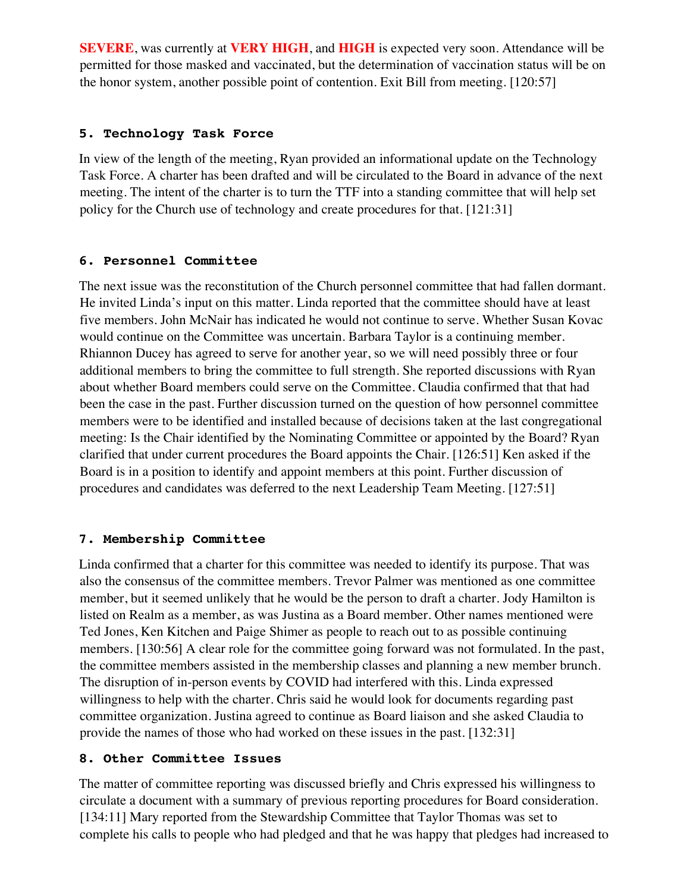**SEVERE**, was currently at **VERY HIGH**, and **HIGH** is expected very soon. Attendance will be permitted for those masked and vaccinated, but the determination of vaccination status will be on the honor system, another possible point of contention. Exit Bill from meeting. [120:57]

#### **5. Technology Task Force**

In view of the length of the meeting, Ryan provided an informational update on the Technology Task Force. A charter has been drafted and will be circulated to the Board in advance of the next meeting. The intent of the charter is to turn the TTF into a standing committee that will help set policy for the Church use of technology and create procedures for that. [121:31]

#### **6. Personnel Committee**

The next issue was the reconstitution of the Church personnel committee that had fallen dormant. He invited Linda's input on this matter. Linda reported that the committee should have at least five members. John McNair has indicated he would not continue to serve. Whether Susan Kovac would continue on the Committee was uncertain. Barbara Taylor is a continuing member. Rhiannon Ducey has agreed to serve for another year, so we will need possibly three or four additional members to bring the committee to full strength. She reported discussions with Ryan about whether Board members could serve on the Committee. Claudia confirmed that that had been the case in the past. Further discussion turned on the question of how personnel committee members were to be identified and installed because of decisions taken at the last congregational meeting: Is the Chair identified by the Nominating Committee or appointed by the Board? Ryan clarified that under current procedures the Board appoints the Chair. [126:51] Ken asked if the Board is in a position to identify and appoint members at this point. Further discussion of procedures and candidates was deferred to the next Leadership Team Meeting. [127:51]

#### **7. Membership Committee**

Linda confirmed that a charter for this committee was needed to identify its purpose. That was also the consensus of the committee members. Trevor Palmer was mentioned as one committee member, but it seemed unlikely that he would be the person to draft a charter. Jody Hamilton is listed on Realm as a member, as was Justina as a Board member. Other names mentioned were Ted Jones, Ken Kitchen and Paige Shimer as people to reach out to as possible continuing members. [130:56] A clear role for the committee going forward was not formulated. In the past, the committee members assisted in the membership classes and planning a new member brunch. The disruption of in-person events by COVID had interfered with this. Linda expressed willingness to help with the charter. Chris said he would look for documents regarding past committee organization. Justina agreed to continue as Board liaison and she asked Claudia to provide the names of those who had worked on these issues in the past. [132:31]

#### **8. Other Committee Issues**

The matter of committee reporting was discussed briefly and Chris expressed his willingness to circulate a document with a summary of previous reporting procedures for Board consideration. [134:11] Mary reported from the Stewardship Committee that Taylor Thomas was set to complete his calls to people who had pledged and that he was happy that pledges had increased to